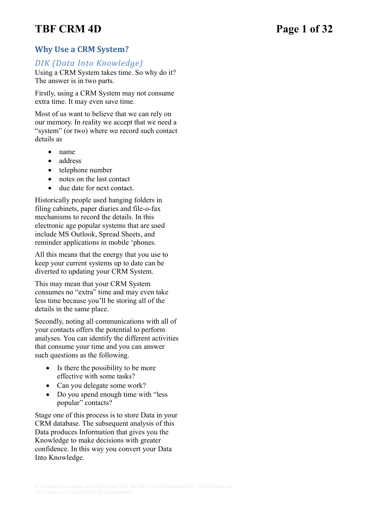# **TBF CRM 4D Page 1 of 32**

## **Why Use a CRM System?**

## *DIK (Data Into Knowledge)*

Using a CRM System takes time. So why do it? The answer is in two parts.

Firstly, using a CRM System may not consume extra time. It may even save time.

Most of us want to believe that we can rely on our memory. In reality we accept that we need a "system" (or two) where we record such contact details as

- name
- address
- telephone number
- notes on the last contact
- due date for next contact.

Historically people used hanging folders in filing cabinets, paper diaries and file-o-fax mechanisms to record the details. In this electronic age popular systems that are used include MS Outlook, Spread Sheets, and reminder applications in mobile 'phones.

All this means that the energy that you use to keep your current systems up to date can be diverted to updating your CRM System.

This may mean that your CRM System consumes no "extra" time and may even take less time because you'll be storing all of the details in the same place.

Secondly, noting all communications with all of your contacts offers the potential to perform analyses. You can identify the different activities that consume your time and you can answer such questions as the following.

- $\bullet$  Is there the possibility to be more effective with some tasks?
- Can you delegate some work?
- Do you spend enough time with "less" popular" contacts?

Stage one of this process is to store Data in your CRM database. The subsequent analysis of this Data produces Information that gives you the Knowledge to make decisions with greater confidence. In this way you convert your Data Into Knowledge.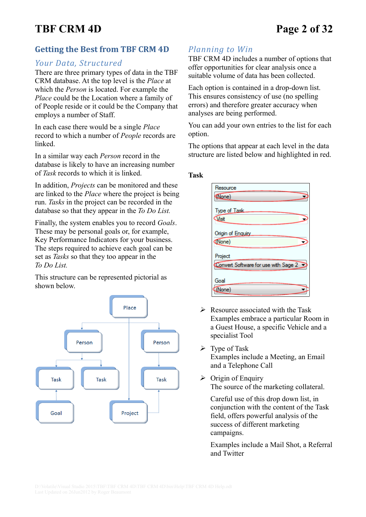# **TBF CRM 4D Page 2 of 32**

## **Getting the Best from TBF CRM 4D**

### *Your Data, Structured*

There are three primary types of data in the TBF CRM database. At the top level is the *Place* at which the *Person* is located. For example the *Place* could be the Location where a family of of People reside or it could be the Company that employs a number of Staff.

In each case there would be a single *Place* record to which a number of *People* records are linked.

In a similar way each *Person* record in the database is likely to have an increasing number of *Task* records to which it is linked.

In addition, *Projects* can be monitored and these are linked to the *Place* where the project is being run. *Tasks* in the project can be recorded in the database so that they appear in the *To Do List.*

Finally, the system enables you to record *Goals*. These may be personal goals or, for example, Key Performance Indicators for your business. The steps required to achieve each goal can be set as *Tasks* so that they too appear in the *To Do List.*

This structure can be represented pictorial as shown below.



## *Planning to Win*

TBF CRM 4D includes a number of options that offer opportunities for clear analysis once a suitable volume of data has been collected.

Each option is contained in a drop-down list. This ensures consistency of use (no spelling errors) and therefore greater accuracy when analyses are being performed.

You can add your own entries to the list for each option.

The options that appear at each level in the data structure are listed below and highlighted in red.

#### **Task**

| Resource                             |
|--------------------------------------|
| (None)                               |
| Type of Task.                        |
| Visit                                |
| Origin of Enquiry                    |
| (None)                               |
| Project                              |
| Convert Software for use with Sage 2 |
|                                      |
| Goal                                 |
| None)                                |

- $\triangleright$  Resource associated with the Task Examples embrace a particular Room in a Guest House, a specific Vehicle and a specialist Tool
- $\triangleright$  Type of Task Examples include a Meeting, an Email and a Telephone Call
- $\triangleright$  Origin of Enquiry The source of the marketing collateral.

Careful use of this drop down list, in conjunction with the content of the Task field, offers powerful analysis of the success of different marketing campaigns.

Examples include a Mail Shot, a Referral and Twitter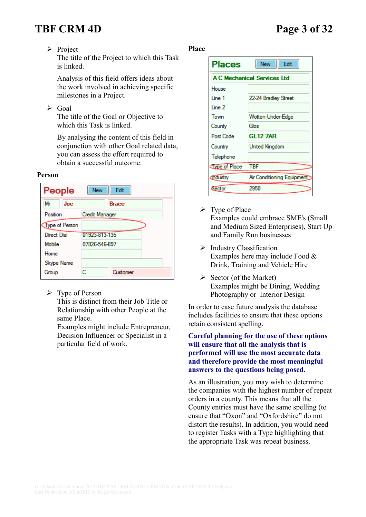# **TBF CRM 4D Page 3 of 32**

➢ Project

The title of the Project to which this Task is linked.

Analysis of this field offers ideas about the work involved in achieving specific milestones in a Project.

 $\triangleright$  Goal

The title of the Goal or Objective to which this Task is linked.

By analysing the content of this field in conjunction with other Goal related data, you can assess the effort required to obtain a successful outcome.

#### **Person**



 $\triangleright$  Type of Person

This is distinct from their Job Title or Relationship with other People at the same Place.

Examples might include Entrepreneur, Decision Influencer or Specialist in a particular field of work.

#### **Place**



- $\triangleright$  Type of Place Examples could embrace SME's (Small and Medium Sized Enterprises), Start Up and Family Run businesses
- ➢ Industry Classification Examples here may include Food & Drink, Training and Vehicle Hire
- $\triangleright$  Sector (of the Market) Examples might be Dining, Wedding Photography or Interior Design

In order to ease future analysis the database includes facilities to ensure that these options retain consistent spelling.

#### **Careful planning for the use of these options will ensure that all the analysis that is performed will use the most accurate data and therefore provide the most meaningful answers to the questions being posed.**

As an illustration, you may wish to determine the companies with the highest number of repeat orders in a county. This means that all the County entries must have the same spelling (to ensure that "Oxon" and "Oxfordshire" do not distort the results). In addition, you would need to register Tasks with a Type highlighting that the appropriate Task was repeat business.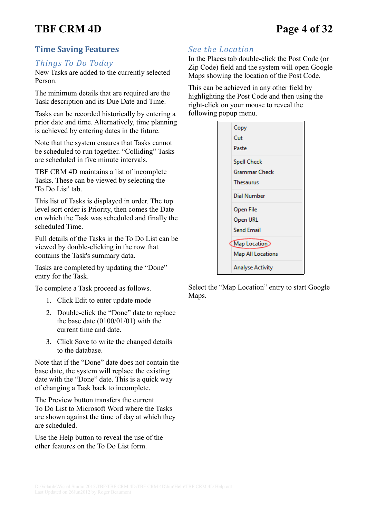# **TBF CRM 4D Page 4 of 32**

## **Time Saving Features**

#### *Things To Do Today*

New Tasks are added to the currently selected Person.

The minimum details that are required are the Task description and its Due Date and Time.

Tasks can be recorded historically by entering a prior date and time. Alternatively, time planning is achieved by entering dates in the future.

Note that the system ensures that Tasks cannot be scheduled to run together. "Colliding" Tasks are scheduled in five minute intervals.

TBF CRM 4D maintains a list of incomplete Tasks. These can be viewed by selecting the 'To Do List' tab.

This list of Tasks is displayed in order. The top level sort order is Priority, then comes the Date on which the Task was scheduled and finally the scheduled Time.

Full details of the Tasks in the To Do List can be viewed by double-clicking in the row that contains the Task's summary data.

Tasks are completed by updating the "Done" entry for the Task.

To complete a Task proceed as follows.

- 1. Click Edit to enter update mode
- 2. Double-click the "Done" date to replace the base date  $(0100/01/01)$  with the current time and date.
- 3. Click Save to write the changed details to the database.

Note that if the "Done" date does not contain the base date, the system will replace the existing date with the "Done" date. This is a quick way of changing a Task back to incomplete.

The Preview button transfers the current To Do List to Microsoft Word where the Tasks are shown against the time of day at which they are scheduled.

Use the Help button to reveal the use of the other features on the To Do List form.

#### *See the Location*

In the Places tab double-click the Post Code (or Zip Code) field and the system will open Google Maps showing the location of the Post Code.

This can be achieved in any other field by highlighting the Post Code and then using the right-click on your mouse to reveal the following popup menu.



Select the "Map Location" entry to start Google Maps.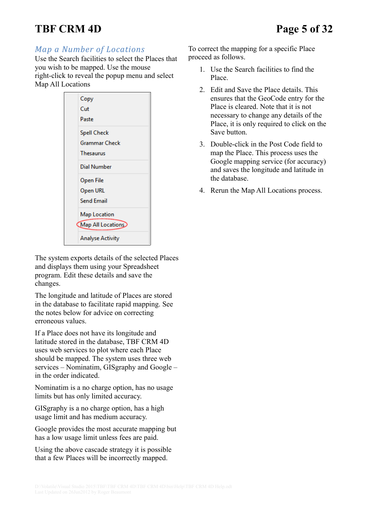# **TBF CRM 4D Page 5 of 32**

## *Map a Number of Locations*

Use the Search facilities to select the Places that you wish to be mapped. Use the mouse right-click to reveal the popup menu and select Map All Locations

| Copy                    |  |
|-------------------------|--|
| Cut                     |  |
| Paste                   |  |
| <b>Spell Check</b>      |  |
| <b>Grammar Check</b>    |  |
| Thesaurus               |  |
| Dial Number             |  |
| Open File               |  |
| Open URL                |  |
| <b>Send Email</b>       |  |
| Map Location            |  |
| Map All Locations       |  |
| <b>Analyse Activity</b> |  |

The system exports details of the selected Places and displays them using your Spreadsheet program. Edit these details and save the changes.

The longitude and latitude of Places are stored in the database to facilitate rapid mapping. See the notes below for advice on correcting erroneous values.

If a Place does not have its longitude and latitude stored in the database, TBF CRM 4D uses web services to plot where each Place should be mapped. The system uses three web services – Nominatim, GISgraphy and Google – in the order indicated.

Nominatim is a no charge option, has no usage limits but has only limited accuracy.

GISgraphy is a no charge option, has a high usage limit and has medium accuracy.

Google provides the most accurate mapping but has a low usage limit unless fees are paid.

Using the above cascade strategy it is possible that a few Places will be incorrectly mapped.

To correct the mapping for a specific Place proceed as follows.

- 1. Use the Search facilities to find the Place.
- 2. Edit and Save the Place details. This ensures that the GeoCode entry for the Place is cleared. Note that it is not necessary to change any details of the Place, it is only required to click on the Save button.
- 3. Double-click in the Post Code field to map the Place. This process uses the Google mapping service (for accuracy) and saves the longitude and latitude in the database.
- 4. Rerun the Map All Locations process.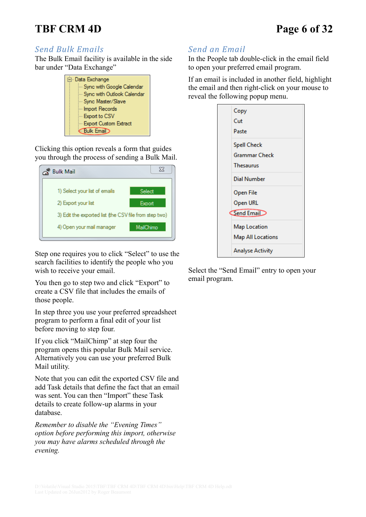# **TBF CRM 4D Page 6 of 32**

### *Send Bulk Emails*

The Bulk Email facility is available in the side bar under "Data Exchange"

| 白 Data Exchange            |  |
|----------------------------|--|
| Sync with Google Calendar  |  |
| Sync with Outlook Calendar |  |
| ¦… Sync Master/Slave       |  |
| ├─ Import Records          |  |
| - Export to CSV            |  |
| - Export Custom Extract    |  |
| <b>Bulk Email</b>          |  |

Clicking this option reveals a form that guides you through the process of sending a Bulk Mail.

| <b>Bulk Mail</b>                                       | ж         |
|--------------------------------------------------------|-----------|
| 1) Select your list of emails                          | Select    |
| 2) Export your list                                    | Export    |
| 3) Edit the exported list (the CSV file from step two) |           |
| 4) Open your mail manager                              | MailChimo |
|                                                        |           |

Step one requires you to click "Select" to use the search facilities to identify the people who you wish to receive your email.

You then go to step two and click "Export" to create a CSV file that includes the emails of those people.

In step three you use your preferred spreadsheet program to perform a final edit of your list before moving to step four.

If you click "MailChimp" at step four the program opens this popular Bulk Mail service. Alternatively you can use your preferred Bulk Mail utility.

Note that you can edit the exported CSV file and add Task details that define the fact that an email was sent. You can then "Import" these Task details to create follow-up alarms in your database.

*Remember to disable the "Evening Times" option before performing this import, otherwise you may have alarms scheduled through the evening.*

## *Send an Email*

In the People tab double-click in the email field to open your preferred email program.

If an email is included in another field, highlight the email and then right-click on your mouse to reveal the following popup menu.

| Copy                    |
|-------------------------|
| Cut                     |
| Paste                   |
| <b>Spell Check</b>      |
| Grammar Check           |
| <b>Thesaurus</b>        |
| Dial Number             |
| Open File               |
| Open URL                |
| Send Email              |
| <b>Map Location</b>     |
| Map All Locations       |
| <b>Analyse Activity</b> |

Select the "Send Email" entry to open your email program.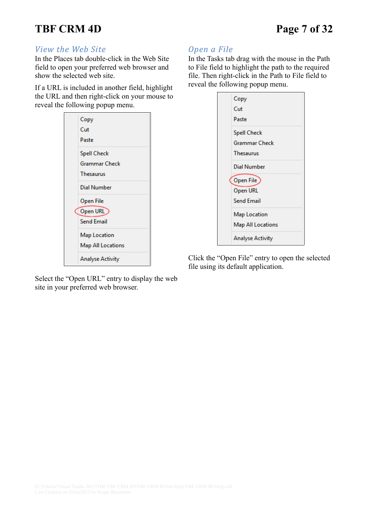# **TBF CRM 4D Page 7 of 32**

#### *View the Web Site*

In the Places tab double-click in the Web Site field to open your preferred web browser and show the selected web site.

If a URL is included in another field, highlight the URL and then right-click on your mouse to reveal the following popup menu.



Select the "Open URL" entry to display the web site in your preferred web browser.

## *Open a File*

In the Tasks tab drag with the mouse in the Path to File field to highlight the path to the required file. Then right-click in the Path to File field to reveal the following popup menu.

| Copy                     |
|--------------------------|
| Cut                      |
| Paste                    |
| <b>Spell Check</b>       |
| <b>Grammar Check</b>     |
| <b>Thesaurus</b>         |
| Dial Number              |
| Open File                |
| Open URL                 |
| <b>Send Email</b>        |
| Map Location             |
| <b>Map All Locations</b> |
| <b>Analyse Activity</b>  |

Click the "Open File" entry to open the selected file using its default application.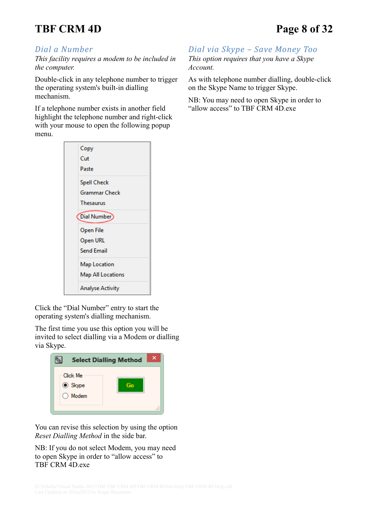# **TBF CRM 4D Page 8 of 32**

## *Dial a Number*

*This facility requires a modem to be included in the computer.*

Double-click in any telephone number to trigger the operating system's built-in dialling mechanism.

If a telephone number exists in another field highlight the telephone number and right-click with your mouse to open the following popup menu.



Click the "Dial Number" entry to start the operating system's dialling mechanism.

The first time you use this option you will be invited to select dialling via a Modem or dialling via Skype.

| <b>Select Dialling Method</b>             |    | ×                |
|-------------------------------------------|----|------------------|
| Click Me<br><b>◎</b> Skype<br>Modem<br>L. | Go | $= 1$<br>$= 100$ |

You can revise this selection by using the option *Reset Dialling Method* in the side bar.

NB: If you do not select Modem, you may need to open Skype in order to "allow access" to TBF CRM 4D.exe

*Dial via Skype – Save Money Too This option requires that you have a Skype Account.*

As with telephone number dialling, double-click on the Skype Name to trigger Skype.

NB: You may need to open Skype in order to "allow access" to TBF CRM 4D.exe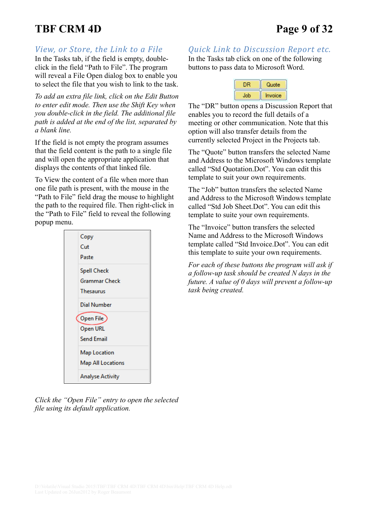# **TBF CRM 4D Page 9 of 32**

#### *View, or Store, the Link to a File*

In the Tasks tab, if the field is empty, doubleclick in the field "Path to File". The program will reveal a File Open dialog box to enable you to select the file that you wish to link to the task.

*To add an extra file link, click on the Edit Button to enter edit mode. Then use the Shift Key when you double-click in the field. The additional file path is added at the end of the list, separated by a blank line.*

If the field is not empty the program assumes that the field content is the path to a single file and will open the appropriate application that displays the contents of that linked file.

To View the content of a file when more than one file path is present, with the mouse in the "Path to File" field drag the mouse to highlight the path to the required file. Then right-click in the "Path to File" field to reveal the following popup menu.



*Click the "Open File" entry to open the selected file using its default application.*

<span id="page-8-0"></span>*Quick Link to Discussion Report etc.*

In the Tasks tab click on one of the following buttons to pass data to Microsoft Word.



The "DR" button opens a Discussion Report that enables you to record the full details of a meeting or other communication. Note that this option will also transfer details from the currently selected Project in the Projects tab.

The "Quote" button transfers the selected Name and Address to the Microsoft Windows template called "Std Quotation.Dot". You can edit this template to suit your own requirements.

The "Job" button transfers the selected Name and Address to the Microsoft Windows template called "Std Job Sheet.Dot". You can edit this template to suite your own requirements.

The "Invoice" button transfers the selected Name and Address to the Microsoft Windows template called "Std Invoice.Dot". You can edit this template to suite your own requirements.

*For each of these buttons the program will ask if a follow-up task should be created N days in the future. A value of 0 days will prevent a follow-up task being created.*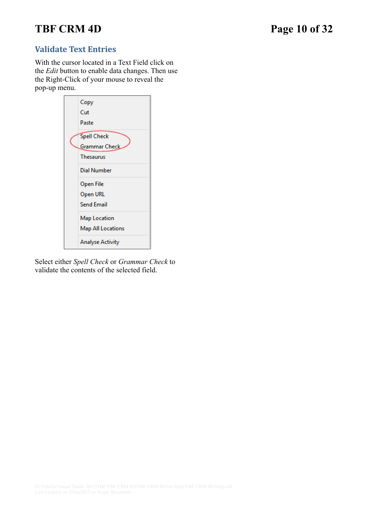# **TBF CRM 4D Page 10 of 32**

## **Validate Text Entries**

With the cursor located in a Text Field click on the *Edit* button to enable data changes. Then use the Right-Click of your mouse to reveal the pop-up menu.



Select either *Spell Check* or *Grammar Check* to validate the contents of the selected field.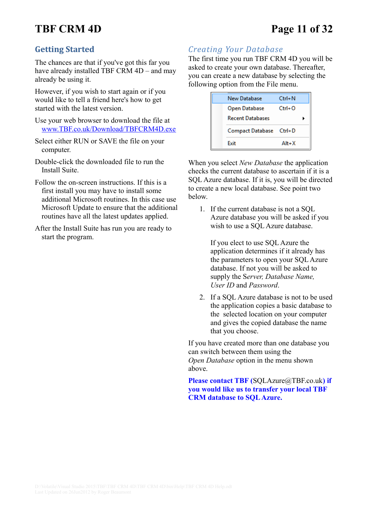# **TBF CRM 4D Page 11 of 32**

## **Getting Started**

The chances are that if you've got this far you have already installed TBF CRM 4D – and may already be using it.

However, if you wish to start again or if you would like to tell a friend here's how to get started with the latest version.

Use your web browser to download the file at [www.TBF.co.uk/Download/TBFCRM4D.exe](http://www.TBF.co.uk/Download/TBFCRM4D.exe)

- Select either RUN or SAVE the file on your computer.
- Double-click the downloaded file to run the Install Suite.
- Follow the on-screen instructions. If this is a first install you may have to install some additional Microsoft routines. In this case use Microsoft Update to ensure that the additional routines have all the latest updates applied.
- After the Install Suite has run you are ready to start the program.

## *Creating Your Database*

The first time you run TBF CRM 4D you will be asked to create your own database. Thereafter, you can create a new database by selecting the following option from the File menu.

| New Database            | $Ctrl + N$ |
|-------------------------|------------|
| Open Database           | $Ctrl + O$ |
| <b>Recent Databases</b> |            |
| Compact Database Ctrl+D |            |
| <b>Fxit</b>             | $Alt+X$    |

When you select *New Database* the application checks the current database to ascertain if it is a SQL Azure database. If it is, you will be directed to create a new local database. See point two below.

1. If the current database is not a SQL Azure database you will be asked if you wish to use a SQL Azure database.

If you elect to use SQL Azure the application determines if it already has the parameters to open your SQL Azure database. If not you will be asked to supply the S*erver, Database Name, User ID* and *Password*.

2. If a SQL Azure database is not to be used the application copies a basic database to the selected location on your computer and gives the copied database the name that you choose.

If you have created more than one database you can switch between them using the *Open Database* option in the menu shown above.

**Please contact TBF (**[SQLAzure@TBF.co.uk](mailto:SQLAzure@TBF.co.uk?subject=Please%20Help%20...)**) if you would like us to transfer your local TBF CRM database to SQL Azure.**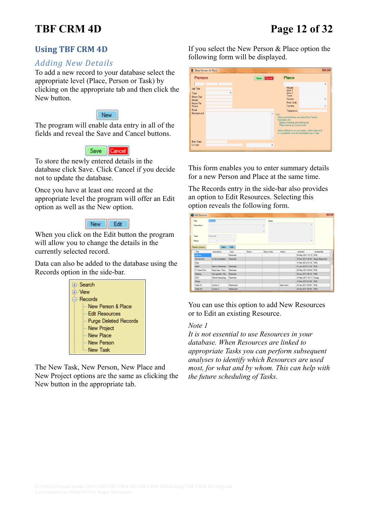# **TBF CRM 4D Page 12 of 32**

## **Using TBF CRM 4D**

### *Adding New Details*

To add a new record to your database select the appropriate level (Place, Person or Task) by clicking on the appropriate tab and then click the New button.

#### New

The program will enable data entry in all of the fields and reveal the Save and Cancel buttons.

#### Save Cancel

To store the newly entered details in the database click Save. Click Cancel if you decide not to update the database.

Once you have at least one record at the appropriate level the program will offer an Edit option as well as the New option.

#### New Edit

When you click on the Edit button the program will allow you to change the details in the currently selected record.

Data can also be added to the database using the Records option in the side-bar.



The New Task, New Person, New Place and New Project options are the same as clicking the New button in the appropriate tab.

If you select the New Person & Place option the following form will be displayed.

| <b>W</b> New Person & Place                                           |             |                                                                                                                                                                                                         | $\overline{\mathbf{x}}$                       |
|-----------------------------------------------------------------------|-------------|---------------------------------------------------------------------------------------------------------------------------------------------------------------------------------------------------------|-----------------------------------------------|
| Person                                                                | Save Cancel | Place                                                                                                                                                                                                   |                                               |
| Job Title<br>Type<br>۰.<br>Direct Dial<br>Mobile<br>Home Tel<br>Skype |             | House<br>line 1<br>Line 2<br><b>Town</b><br>County<br>Post Code<br>Country                                                                                                                              | ۰<br>٠<br>٠                                   |
| Email<br>Background                                                   |             | Telephone<br>$^{\wedge}$ Hint<br>Notes entered here are about the Person<br>Examples are:<br>Enjoys cooking and dining out<br>Plays tennis at county level<br>or completed, should be entered as a Task | Notes related to an occassion, either planned |
| <b>Birth Date</b><br>Cr Card                                          | ۰           |                                                                                                                                                                                                         |                                               |

This form enables you to enter summary details for a new Person and Place at the same time.

The Records entry in the side-bar also provides an option to Edit Resources. Selecting this option reveals the following form.

| <b>Edit Resource</b>         |                           |                   |        |             |              |                                                           | $-x$      |
|------------------------------|---------------------------|-------------------|--------|-------------|--------------|-----------------------------------------------------------|-----------|
| Title                        | Birthday                  |                   |        | Notes       |              |                                                           |           |
| Description                  |                           |                   |        |             |              |                                                           |           |
| <b>Type</b><br><b>Status</b> | Reminder<br>$\rightarrow$ |                   |        |             |              |                                                           |           |
| Resize Columns<br>Title      | <b>New</b>                | Edit              | Status | Status Desc | <b>Notes</b> | Undated                                                   |           |
| Bithday                      | Description               | Type<br>Reminder  |        |             |              | 09 May 2011 10:12 RSB                                     | UpdatedBy |
| Car Service                  | To be completed           | Reminder          |        |             |              |                                                           |           |
|                              |                           |                   |        |             |              | 10 Oct 2011 09:30 Roger Beaumont<br>12 Mar 2012 16:18 RSB |           |
| Diary<br><b>AMAI</b>         | Sent or Received          | Reminder          |        |             |              | 21 Jun 2012 17:30 RSB                                     |           |
|                              |                           |                   |        |             |              |                                                           |           |
| F1 Grand Prix                | Race Day - Prec           | Reminder          |        |             |              | 29 May 2011 08:44 RSB                                     |           |
| Meeting                      | Non-specific, Ma          | Reminder          |        |             |              | 06 Jun 2011 08:10 RSB                                     |           |
| 000                          | Oxford Oesoohag Reminder  |                   |        |             |              | 15 May 2011 16:11 Dodge                                   |           |
| <b>Rotary</b>                |                           |                   |        |             |              | 10 Feb 2012 07:04 RSB                                     |           |
| Table 01                     | Covers <sub>2</sub>       | <b>Restaurant</b> |        |             | Near mirror  | 25 Apr 2011 00:00                                         | RSB       |
|                              |                           | Restaurant        |        |             |              | 25 Apr 2011 00:00 RSB                                     |           |

You can use this option to add New Resources or to Edit an existing Resource.

#### *Note 1*

*It is not essential to use Resources in your database. When Resources are linked to appropriate Tasks you can perform subsequent analyses to identify which Resources are used most, for what and by whom. This can help with the future scheduling of Tasks.*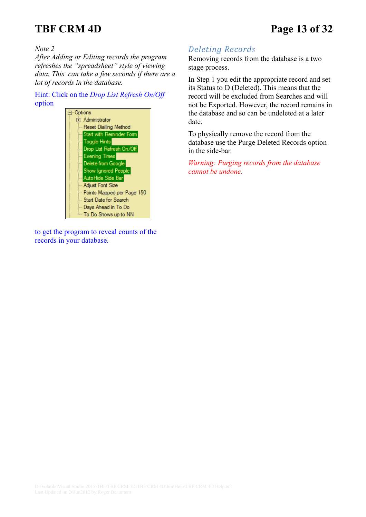# **TBF CRM 4D Page 13 of 32**

*Note 2*

*After Adding or Editing records the program refreshes the "spreadsheet" style of viewing data. This can take a few seconds if there are a lot of records in the database.*

Hint: Click on the *Drop List Refresh On/Off* option



to get the program to reveal counts of the records in your database.

## *Deleting Records*

Removing records from the database is a two stage process.

In Step 1 you edit the appropriate record and set its Status to D (Deleted). This means that the record will be excluded from Searches and will not be Exported. However, the record remains in the database and so can be undeleted at a later date.

To physically remove the record from the database use the Purge Deleted Records option in the side-bar.

*Warning: Purging records from the database cannot be undone.*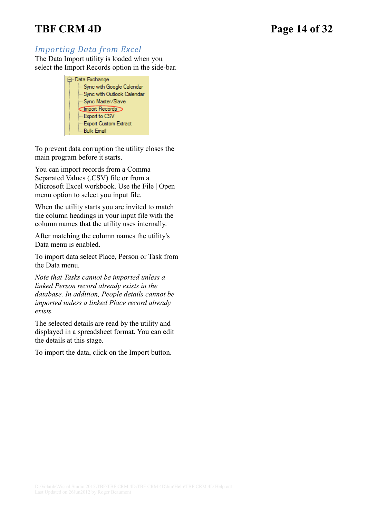# **TBF CRM 4D Page 14 of 32**

## *Importing Data from Excel*

The Data Import utility is loaded when you select the Import Records option in the side-bar.



To prevent data corruption the utility closes the main program before it starts.

You can import records from a Comma Separated Values (.CSV) file or from a Microsoft Excel workbook. Use the File | Open menu option to select you input file.

When the utility starts you are invited to match the column headings in your input file with the column names that the utility uses internally.

After matching the column names the utility's Data menu is enabled.

To import data select Place, Person or Task from the Data menu.

*Note that Tasks cannot be imported unless a linked Person record already exists in the database. In addition, People details cannot be imported unless a linked Place record already exists.*

The selected details are read by the utility and displayed in a spreadsheet format. You can edit the details at this stage.

To import the data, click on the Import button.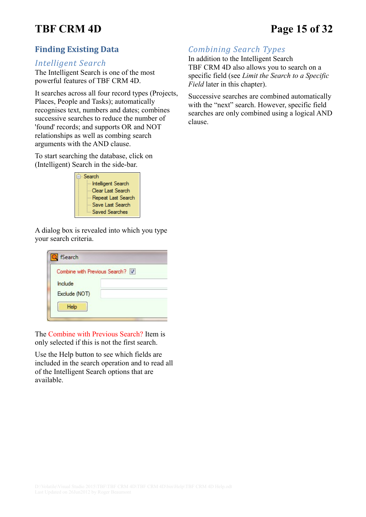# **TBF CRM 4D Page 15 of 32**

## **Finding Existing Data**

#### *Intelligent Search*

The Intelligent Search is one of the most powerful features of TBF CRM 4D.

It searches across all four record types (Projects, Places, People and Tasks); automatically recognises text, numbers and dates; combines successive searches to reduce the number of 'found' records; and supports OR and NOT relationships as well as combing search arguments with the AND clause.

To start searching the database, click on (Intelligent) Search in the side-bar.



A dialog box is revealed into which you type your search criteria.

| fSearch                         |  |
|---------------------------------|--|
| Combine with Previous Search? V |  |
| Include                         |  |
| Exclude (NOT)                   |  |
| Help                            |  |
|                                 |  |

The Combine with Previous Search? Item is only selected if this is not the first search.

Use the Help button to see which fields are included in the search operation and to read all of the Intelligent Search options that are available.

# *Combining Search Types*

In addition to the Intelligent Search TBF CRM 4D also allows you to search on a specific field (see *Limit the Search to a Specific Field* later in this chapter).

Successive searches are combined automatically with the "next" search. However, specific field searches are only combined using a logical AND clause.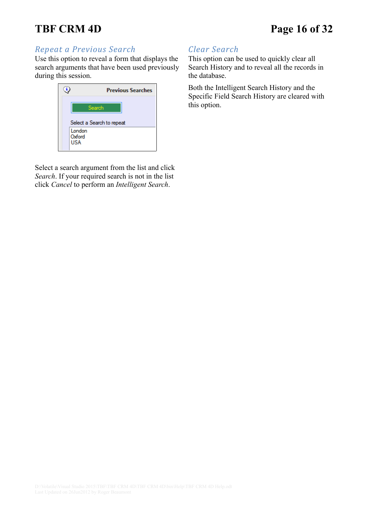# **TBF CRM 4D Page 16 of 32**

#### *Repeat a Previous Search*

Use this option to reveal a form that displays the search arguments that have been used previously during this session.



Select a search argument from the list and click *Search*. If your required search is not in the list click *Cancel* to perform an *Intelligent Search*.

## *Clear Search*

This option can be used to quickly clear all Search History and to reveal all the records in the database.

Both the Intelligent Search History and the Specific Field Search History are cleared with this option.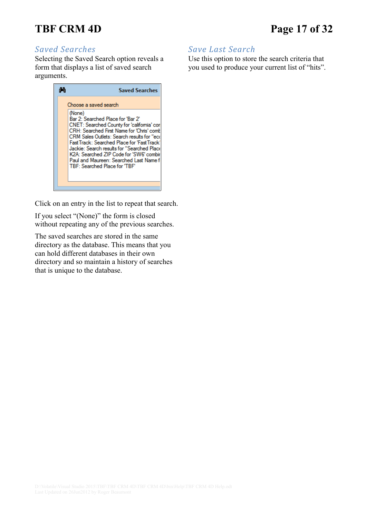# **TBF CRM 4D Page 17 of 32**

## *Saved Searches*

Selecting the Saved Search option reveals a form that displays a list of saved search arguments.



Click on an entry in the list to repeat that search.

If you select "(None)" the form is closed without repeating any of the previous searches.

The saved searches are stored in the same directory as the database. This means that you can hold different databases in their own directory and so maintain a history of searches that is unique to the database.

## *Save Last Search*

Use this option to store the search criteria that you used to produce your current list of "hits".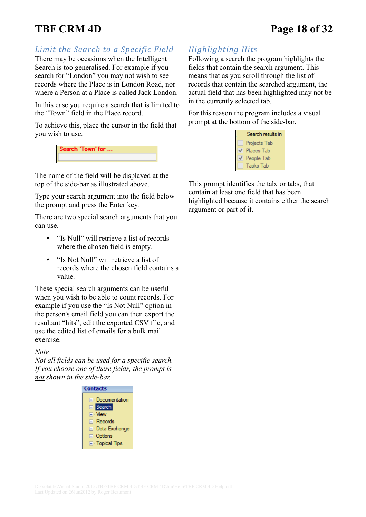# **TBF CRM 4D Page 18 of 32**

*Limit the Search to a Specific Field*

There may be occasions when the Intelligent Search is too generalised. For example if you search for "London" you may not wish to see records where the Place is in London Road, nor where a Person at a Place is called Jack London.

In this case you require a search that is limited to the "Town" field in the Place record.

To achieve this, place the cursor in the field that you wish to use.

| Search 'lown'tor |  |
|------------------|--|
|                  |  |

The name of the field will be displayed at the top of the side-bar as illustrated above.

Type your search argument into the field below the prompt and press the Enter key.

There are two special search arguments that you can use.

- "Is Null" will retrieve a list of records where the chosen field is empty.
- • "Is Not Null" will retrieve a list of records where the chosen field contains a value.

These special search arguments can be useful when you wish to be able to count records. For example if you use the "Is Not Null" option in the person's email field you can then export the resultant "hits", edit the exported CSV file, and use the edited list of emails for a bulk mail exercise.

#### *Note*

*Not all fields can be used for a specific search. If you choose one of these fields, the prompt is not shown in the side-bar.*



# *Highlighting Hits*

Following a search the program highlights the fields that contain the search argument. This means that as you scroll through the list of records that contain the searched argument, the actual field that has been highlighted may not be in the currently selected tab.

For this reason the program includes a visual prompt at the bottom of the side-bar.



This prompt identifies the tab, or tabs, that contain at least one field that has been highlighted because it contains either the search argument or part of it.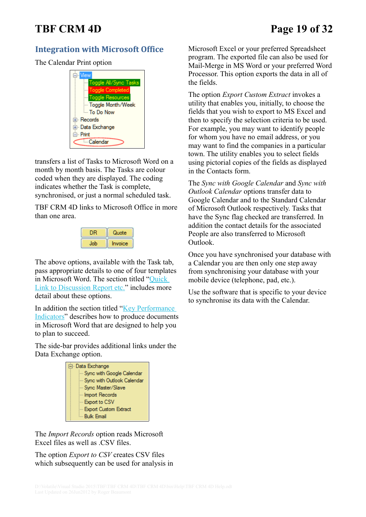# **TBF CRM 4D Page 19 of 32**

## **Integration with Microsoft Office**

The Calendar Print option

| ⊟-View                          |
|---------------------------------|
| <b>Em Toggle All/Sync Tasks</b> |
| Toggle Completed                |
| <u>lille Toggle Resources</u>   |
| Toggle Month/Week               |
| - To Do Now                     |
| ⊞⊹Records                       |
| 国· Data Exchange                |
| <b>⊟</b> Print                  |
| <sup>1</sup> Calendar           |
|                                 |

transfers a list of Tasks to Microsoft Word on a month by month basis. The Tasks are colour coded when they are displayed. The coding indicates whether the Task is complete, synchronised, or just a normal scheduled task.

TBF CRM 4D links to Microsoft Office in more than one area.



The above options, available with the Task tab, pass appropriate details to one of four templates in Microsoft Word. The section titled ["Quick](#page-8-0)  [Link to Discussion Report etc."](#page-8-0) includes more detail about these options.

In addition the section titled ["Key Performance](#page-24-0)  [Indicators"](#page-24-0) describes how to produce documents in Microsoft Word that are designed to help you to plan to succeed.

The side-bar provides additional links under the Data Exchange option.



The *Import Records* option reads Microsoft Excel files as well as .CSV files.

The option *Export to CSV* creates CSV files which subsequently can be used for analysis in Microsoft Excel or your preferred Spreadsheet program. The exported file can also be used for Mail-Merge in MS Word or your preferred Word Processor. This option exports the data in all of the fields.

The option *Export Custom Extract* invokes a utility that enables you, initially, to choose the fields that you wish to export to MS Excel and then to specify the selection criteria to be used. For example, you may want to identify people for whom you have no email address, or you may want to find the companies in a particular town. The utility enables you to select fields using pictorial copies of the fields as displayed in the Contacts form.

The *Sync with Google Calendar* and *Sync with Outlook Calendar* options transfer data to Google Calendar and to the Standard Calendar of Microsoft Outlook respectively. Tasks that have the Sync flag checked are transferred. In addition the contact details for the associated People are also transferred to Microsoft Outlook.

Once you have synchronised your database with a Calendar you are then only one step away from synchronising your database with your mobile device (telephone, pad, etc.).

Use the software that is specific to your device to synchronise its data with the Calendar.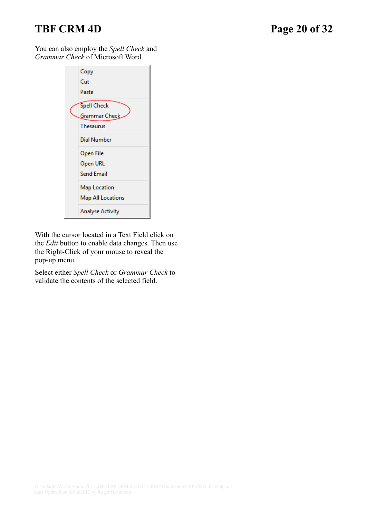# **TBF CRM 4D Page 20 of 32**

You can also employ the *Spell Check* and *Grammar Check* of Microsoft Word.

| Copy<br>Cut              |
|--------------------------|
| Paste                    |
| <b>Spell Check</b>       |
| Grammar Check            |
| <b>Thesaurus</b>         |
| Dial Number              |
| Open File                |
| Open URL                 |
| <b>Send Email</b>        |
| Map Location             |
| <b>Map All Locations</b> |
| <b>Analyse Activity</b>  |

With the cursor located in a Text Field click on the *Edit* button to enable data changes. Then use the Right-Click of your mouse to reveal the pop-up menu.

Select either *Spell Check* or *Grammar Check* to validate the contents of the selected field.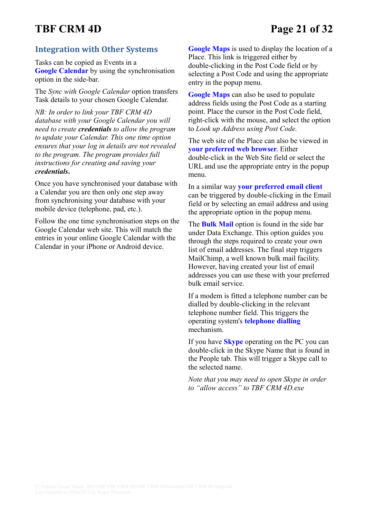# **TBF CRM 4D Page 21 of 32**

### **Integration with Other Systems**

Tasks can be copied as Events in a **Google Calendar** by using the synchronisation option in the side-bar.

The *Sync with Google Calendar* option transfers Task details to your chosen Google Calendar.

*NB: In order to link your TBF CRM 4D database with your Google Calendar you will need to create credentials to allow the program to update your Calendar. This one time option ensures that your log in details are not revealed to the program. The program provides full instructions for creating and saving your credentials***.**

Once you have synchronised your database with a Calendar you are then only one step away from synchronising your database with your mobile device (telephone, pad, etc.).

Follow the one time synchronisation steps on the Google Calendar web site. This will match the entries in your online Google Calendar with the Calendar in your iPhone or Android device.

**Google Maps** is used to display the location of a Place. This link is triggered either by double-clicking in the Post Code field or by selecting a Post Code and using the appropriate entry in the popup menu.

**Google Maps** can also be used to populate address fields using the Post Code as a starting point. Place the cursor in the Post Code field, right-click with the mouse, and select the option to *Look up Address using Post Code.*

The web site of the Place can also be viewed in **your preferred web browser**. Either double-click in the Web Site field or select the URL and use the appropriate entry in the popup menu.

In a similar way **your preferred email client** can be triggered by double-clicking in the Email field or by selecting an email address and using the appropriate option in the popup menu.

The **Bulk Mail** option is found in the side bar under Data Exchange. This option guides you through the steps required to create your own list of email addresses. The final step triggers MailChimp, a well known bulk mail facility. However, having created your list of email addresses you can use these with your preferred bulk email service.

If a modem is fitted a telephone number can be dialled by double-clicking in the relevant telephone number field. This triggers the operating system's **telephone dialling** mechanism.

If you have **Skype** operating on the PC you can double-click in the Skype Name that is found in the People tab. This will trigger a Skype call to the selected name.

*Note that you may need to open Skype in order to "allow access" to TBF CRM 4D.exe*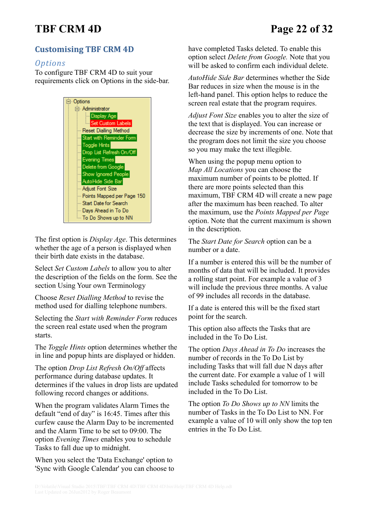# **TBF CRM 4D Page 22 of 32**

# **Customising TBF CRM 4D**

#### *Options*

To configure TBF CRM 4D to suit your requirements click on Options in the side-bar.



The first option is *Display Age*. This determines whether the age of a person is displayed when their birth date exists in the database.

Select *Set Custom Labels* to allow you to alter the description of the fields on the form. See the section [Using Your own Terminology](#page-22-0)

Choose *Reset Dialling Method* to revise the method used for dialling telephone numbers.

Selecting the *Start with Reminder Form* reduces the screen real estate used when the program starts.

The *Toggle Hints* option determines whether the in line and popup hints are displayed or hidden.

The option *Drop List Refresh On/Off* affects performance during database updates. It determines if the values in drop lists are updated following record changes or additions.

When the program validates Alarm Times the default "end of day" is 16:45. Times after this curfew cause the Alarm Day to be incremented and the Alarm Time to be set to 09:00. The option *Evening Times* enables you to schedule Tasks to fall due up to midnight.

When you select the 'Data Exchange' option to 'Sync with Google Calendar' you can choose to have completed Tasks deleted. To enable this option select *Delete from Google.* Note that you will be asked to confirm each individual delete.

*AutoHide Side Bar* determines whether the Side Bar reduces in size when the mouse is in the left-hand panel. This option helps to reduce the screen real estate that the program requires.

*Adjust Font Size* enables you to alter the size of the text that is displayed. You can increase or decrease the size by increments of one. Note that the program does not limit the size you choose so you may make the text illegible.

When using the popup menu option to *Map All Locations* you can choose the maximum number of points to be plotted. If there are more points selected than this maximum, TBF CRM 4D will create a new page after the maximum has been reached. To alter the maximum, use the *Points Mapped per Page* option. Note that the current maximum is shown in the description.

The *Start Date for Search* option can be a number or a date.

If a number is entered this will be the number of months of data that will be included. It provides a rolling start point. For example a value of 3 will include the previous three months. A value of 99 includes all records in the database.

If a date is entered this will be the fixed start point for the search.

This option also affects the Tasks that are included in the To Do List.

The option *Days Ahead in To Do* increases the number of records in the To Do List by including Tasks that will fall due N days after the current date. For example a value of 1 will include Tasks scheduled for tomorrow to be included in the To Do List.

The option *To Do Shows up to NN* limits the number of Tasks in the To Do List to NN. For example a value of 10 will only show the top ten entries in the To Do List.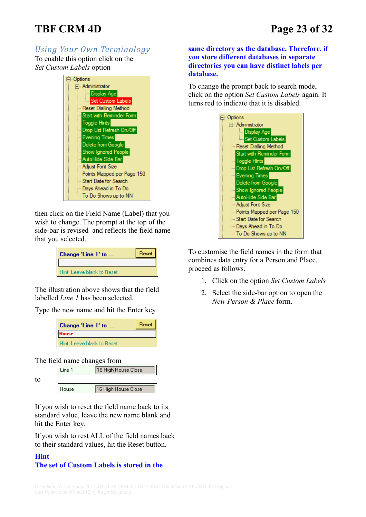# **TBF CRM 4D Page 23 of 32**

# <span id="page-22-0"></span>*Using Your Own Terminology*

To enable this option click on the *Set Custom Labels* option

| ⊟ <sup>.</sup> Options             |  |
|------------------------------------|--|
| <b>E</b> Administrator             |  |
| <b>Display Age</b>                 |  |
| <b>Emp</b> Set Custom Labels       |  |
| Reset Dialling Method              |  |
| Start with Reminder Form           |  |
| <b>Toggle Hints</b>                |  |
| <b>Em</b> Drop List Refresh On/Off |  |
| Evening Times                      |  |
| Delete from Google                 |  |
| Show Ignored People                |  |
| AutoHide Side Bar                  |  |
| - Adjust Font Size                 |  |
| Points Mapped per Page 150 -       |  |
| … Start Date for Search            |  |
| lille Days Ahead in To Do          |  |
| - To Do Shows up to NN             |  |

then click on the Field Name (Label) that you wish to change. The prompt at the top of the side-bar is revised and reflects the field name that you selected.

| Change 'Line 1' to         | Reset I |
|----------------------------|---------|
|                            |         |
| Hint: Leave blank to Reset |         |

The illustration above shows that the field labelled *Line 1* has been selected.

Type the new name and hit the Enter key.

| Change 'Line 1' to         | Reset |  |
|----------------------------|-------|--|
| <b>House</b>               |       |  |
| Hint: Leave blank to Reset |       |  |

The field name changes from

to



If you wish to reset the field name back to its standard value, leave the new name blank and hit the Enter key.

If you wish to rest ALL of the field names back to their standard values, hit the Reset button.

#### **Hint The set of Custom Labels is stored in the**

#### **same directory as the database. Therefore, if you store different databases in separate directories you can have distinct labels per database.**

To change the prompt back to search mode, click on the option *Set Custom Labels* again. It turns red to indicate that it is disabled.



To customise the field names in the form that combines data entry for a Person and Place, proceed as follows.

- 1. Click on the option *Set Custom Labels*
- 2. Select the side-bar option to open the *New Person & Place* form.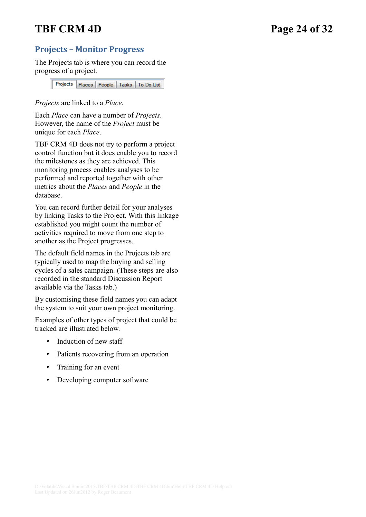# **TBF CRM 4D Page 24 of 32**

## **Projects – Monitor Progress**

The Projects tab is where you can record the progress of a project.

> Projects Places | People | Tasks | To Do List

*Projects* are linked to a *Place*.

Each *Place* can have a number of *Projects*. However, the name of the *Project* must be unique for each *Place*.

TBF CRM 4D does not try to perform a project control function but it does enable you to record the milestones as they are achieved. This monitoring process enables analyses to be performed and reported together with other metrics about the *Places* and *People* in the database.

You can record further detail for your analyses by linking Tasks to the Project. With this linkage established you might count the number of activities required to move from one step to another as the Project progresses.

The default field names in the Projects tab are typically used to map the buying and selling cycles of a sales campaign. (These steps are also recorded in the standard Discussion Report available via the Tasks tab.)

By customising these field names you can adapt the system to suit your own project monitoring.

Examples of other types of project that could be tracked are illustrated below.

- •Induction of new staff
- •Patients recovering from an operation
- •Training for an event
- •Developing computer software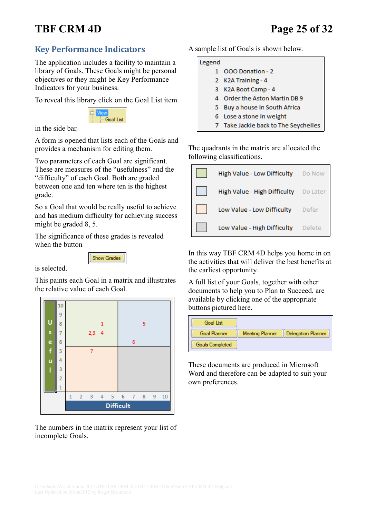# **TBF CRM 4D Page 25 of 32**

## <span id="page-24-0"></span>**Key Performance Indicators**

The application includes a facility to maintain a library of Goals. These Goals might be personal objectives or they might be Key Performance Indicators for your business.

To reveal this library click on the Goal List item



in the side bar.

A form is opened that lists each of the Goals and provides a mechanism for editing them.

Two parameters of each Goal are significant. These are measures of the "usefulness" and the "difficulty" of each Goal. Both are graded between one and ten where ten is the highest grade.

So a Goal that would be really useful to achieve and has medium difficulty for achieving success might be graded 8, 5.

The significance of these grades is revealed when the button



is selected.

This paints each Goal in a matrix and illustrates the relative value of each Goal.



The numbers in the matrix represent your list of incomplete Goals.

A sample list of Goals is shown below.

#### Legend

- 1 OOO Donation 2
- 2 K2A Training 4
- 3 K2A Boot Camp 4
- 4 Order the Aston Martin DB 9
- 5 Buy a house in South Africa
- 6 Lose a stone in weight
- 7 Take Jackie back to The Seychelles

The quadrants in the matrix are allocated the following classifications.



In this way TBF CRM 4D helps you home in on the activities that will deliver the best benefits at the earliest opportunity.

A full list of your Goals, together with other documents to help you to Plan to Succeed, are available by clicking one of the appropriate buttons pictured here.

| Goal List           |                        |                           |
|---------------------|------------------------|---------------------------|
| <b>Goal Planner</b> | <b>Meeting Planner</b> | <b>Delegation Planner</b> |
| Goals Completed     |                        |                           |

These documents are produced in Microsoft Word and therefore can be adapted to suit your own preferences.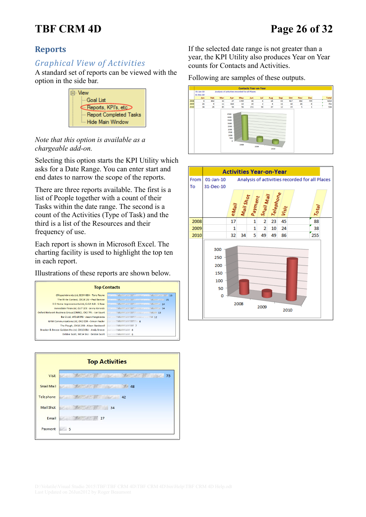# **TBF CRM 4D Page 26 of 32**

## **Reports**

## *Graphical View of Activities*

A standard set of reports can be viewed with the option in the side bar.



#### *Note that this option is available as a chargeable add-on.*

Selecting this option starts the KPI Utility which asks for a Date Range. You can enter start and end dates to narrow the scope of the reports.

There are three reports available. The first is a list of People together with a count of their Tasks within the date range. The second is a count of the Activities (Type of Task) and the third is a list of the Resources and their frequency of use.

Each report is shown in Microsoft Excel. The charting facility is used to highlight the top ten in each report.

Illustrations of these reports are shown below.





If the selected date range is not greater than a year, the KPI Utility also produces Year on Year counts for Contacts and Activities.

#### Following are samples of these outputs.



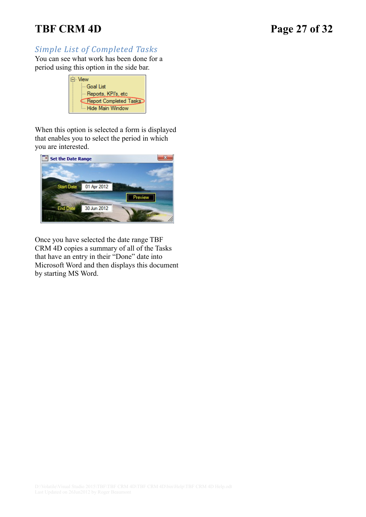# **TBF CRM 4D Page 27 of 32**

## *Simple List of Completed Tasks*

You can see what work has been done for a period using this option in the side bar.

| ≒⊦ View                |  |
|------------------------|--|
| — Goal List            |  |
| - Reports, KPI's, etc  |  |
| Report Completed Tasks |  |
| Hide Main Window       |  |

When this option is selected a form is displayed that enables you to select the period in which you are interested.



Once you have selected the date range TBF CRM 4D copies a summary of all of the Tasks that have an entry in their "Done" date into Microsoft Word and then displays this document by starting MS Word.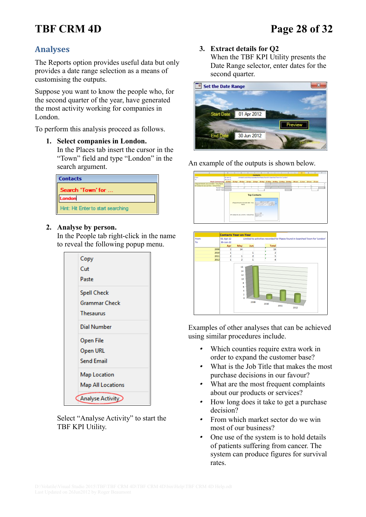# **TBF CRM 4D Page 28 of 32**

## **Analyses**

The Reports option provides useful data but only provides a date range selection as a means of customising the outputs.

Suppose you want to know the people who, for the second quarter of the year, have generated the most activity working for companies in London.

To perform this analysis proceed as follows.

- **1. Select companies in London.**
	- In the Places tab insert the cursor in the "Town" field and type "London" in the search argument.

| <b>Contacts</b>                    |
|------------------------------------|
| Search 'Town' for                  |
| ondon                              |
| Hint: Hit Enter to start searching |

#### **2. Analyse by person.**

In the People tab right-click in the name to reveal the following popup menu.



Select "Analyse Activity" to start the TBF KPI Utility.

#### **3. Extract details for Q2**

When the TBF KPI Utility presents the Date Range selector, enter dates for the second quarter.



An example of the outputs is shown below.





Examples of other analyses that can be achieved using similar procedures include.

- • Which counties require extra work in order to expand the customer base?
- • What is the Job Title that makes the most purchase decisions in our favour?
- • What are the most frequent complaints about our products or services?
- • How long does it take to get a purchase decision?
- • From which market sector do we win most of our business?
- • One use of the system is to hold details of patients suffering from cancer. The system can produce figures for survival rates.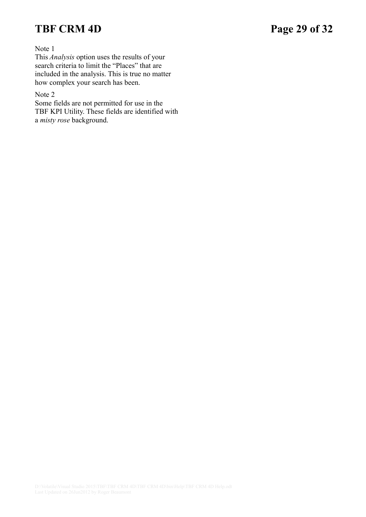# **TBF CRM 4D Page 29 of 32**

Note 1

This *Analysis* option uses the results of your search criteria to limit the "Places" that are included in the analysis. This is true no matter how complex your search has been.

#### Note 2

Some fields are not permitted for use in the TBF KPI Utility. These fields are identified with a *misty rose* background.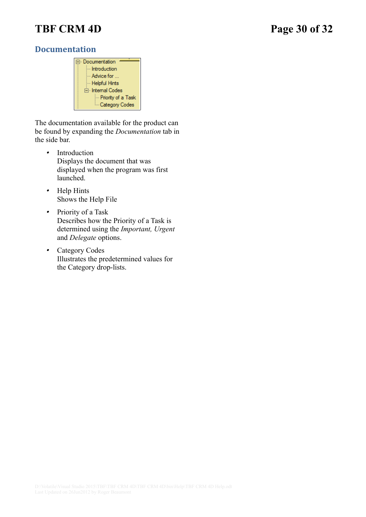# **TBF CRM 4D Page 30 of 32**

### **Documentation**

| ⊟– Documentation     |
|----------------------|
|                      |
| i Introduction       |
|                      |
| ⊧… Advice for …      |
|                      |
| — Helpful Hints      |
|                      |
| 白 Internal Codes     |
|                      |
| - Priority of a Task |
|                      |
| Category Codes       |
|                      |
|                      |

The documentation available for the product can be found by expanding the *Documentation* tab in the side bar.

- • Introduction Displays the document that was displayed when the program was first launched.
- Help Hints Shows the Help File
- • Priority of a Task Describes how the Priority of a Task is determined using the *Important, Urgent*  and *Delegate* options.
- Category Codes Illustrates the predetermined values for the Category drop-lists.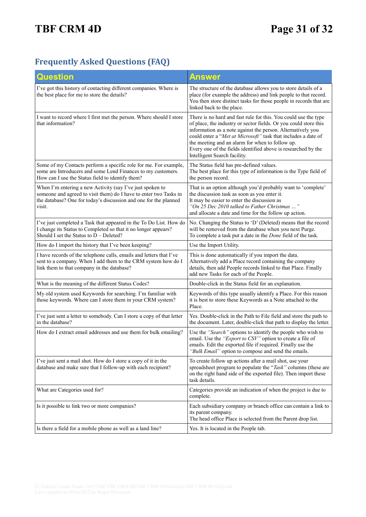# **Frequently Asked Questions (FAQ)**

| Question                                                                                                                                                                                                     | Answer                                                                                                                                                                                                                                                                                                                                                                                                                  |
|--------------------------------------------------------------------------------------------------------------------------------------------------------------------------------------------------------------|-------------------------------------------------------------------------------------------------------------------------------------------------------------------------------------------------------------------------------------------------------------------------------------------------------------------------------------------------------------------------------------------------------------------------|
| I've got this history of contacting different companies. Where is<br>the best place for me to store the details?                                                                                             | The structure of the database allows you to store details of a<br>place (for example the address) and link people to that record.<br>You then store distinct tasks for those people in records that are<br>linked back to the place.                                                                                                                                                                                    |
| I want to record where I first met the person. Where should I store<br>that information?                                                                                                                     | There is no hard and fast rule for this. You could use the type<br>of place, the industry or sector fields. Or you could store this<br>information as a note against the person. Alternatively you<br>could enter a "Met at Microsoft" task that includes a date of<br>the meeting and an alarm for when to follow up.<br>Every one of the fields identified above is researched by the<br>Intelligent Search facility. |
| Some of my Contacts perform a specific role for me. For example,<br>some are Introducers and some Lend Finances to my customers.<br>How can I use the Status field to identify them?                         | The Status field has pre-defined values.<br>The best place for this type of information is the Type field of<br>the person record.                                                                                                                                                                                                                                                                                      |
| When I'm entering a new Activity (say I've just spoken to<br>someone and agreed to visit them) do I have to enter two Tasks in<br>the database? One for today's discussion and one for the planned<br>visit. | That is an option although you'd probably want to 'complete'<br>the discussion task as soon as you enter it.<br>It may be easier to enter the discussion as<br>"On 25 Dec 2010 talked to Father Christmas "<br>and allocate a date and time for the follow up action.                                                                                                                                                   |
| I've just completed a Task that appeared in the To Do List. How do<br>I change its Status to Completed so that it no longer appears?<br>Should I set the Status to D - Deleted?                              | No. Changing the Status to 'D' (Deleted) means that the record<br>will be removed from the database when you next Purge.<br>To complete a task put a date in the <i>Done</i> field of the task.                                                                                                                                                                                                                         |
| How do I import the history that I've been keeping?                                                                                                                                                          | Use the Import Utility.                                                                                                                                                                                                                                                                                                                                                                                                 |
| I have records of the telephone calls, emails and letters that I've<br>sent to a company. When I add them to the CRM system how do I<br>link them to that company in the database?                           | This is done automatically if you import the data.<br>Alternatively add a Place record containing the company<br>details, then add People records linked to that Place. Finally<br>add new Tasks for each of the People.                                                                                                                                                                                                |
| What is the meaning of the different Status Codes?                                                                                                                                                           | Double-click in the Status field for an explanation.                                                                                                                                                                                                                                                                                                                                                                    |
| My old system used Keywords for searching. I'm familiar with<br>those keywords. Where can I store them in your CRM system?                                                                                   | Keywords of this type usually identify a Place. For this reason<br>it is best to store these Keywords as a Note attached to the<br>Place.                                                                                                                                                                                                                                                                               |
| I've just sent a letter to somebody. Can I store a copy of that letter<br>in the database?                                                                                                                   | Yes. Double-click in the Path to File field and store the path to<br>the document. Later, double-click that path to display the letter.                                                                                                                                                                                                                                                                                 |
| How do I extract email addresses and use them for bulk emailing?                                                                                                                                             | Use the "Search" options to identify the people who wish to<br>email. Use the "Export to CSV" option to create a file of<br>emails. Edit the exported file if required. Finally use the<br>"Bulk Email" option to compose and send the emails.                                                                                                                                                                          |
| I've just sent a mail shot. How do I store a copy of it in the<br>database and make sure that I follow-up with each recipient?                                                                               | To create follow up actions after a mail shot, use your<br>spreadsheet program to populate the "Task" columns (these are<br>on the right hand side of the exported file). Then import these<br>task details.                                                                                                                                                                                                            |
| What are Categories used for?                                                                                                                                                                                | Categories provide an indication of when the project is due to<br>complete.                                                                                                                                                                                                                                                                                                                                             |
| Is it possible to link two or more companies?                                                                                                                                                                | Each subsidiary company or branch office can contain a link to<br>its parent company.<br>The head office Place is selected from the Parent drop list.                                                                                                                                                                                                                                                                   |
| Is there a field for a mobile phone as well as a land line?                                                                                                                                                  | Yes. It is located in the People tab.                                                                                                                                                                                                                                                                                                                                                                                   |